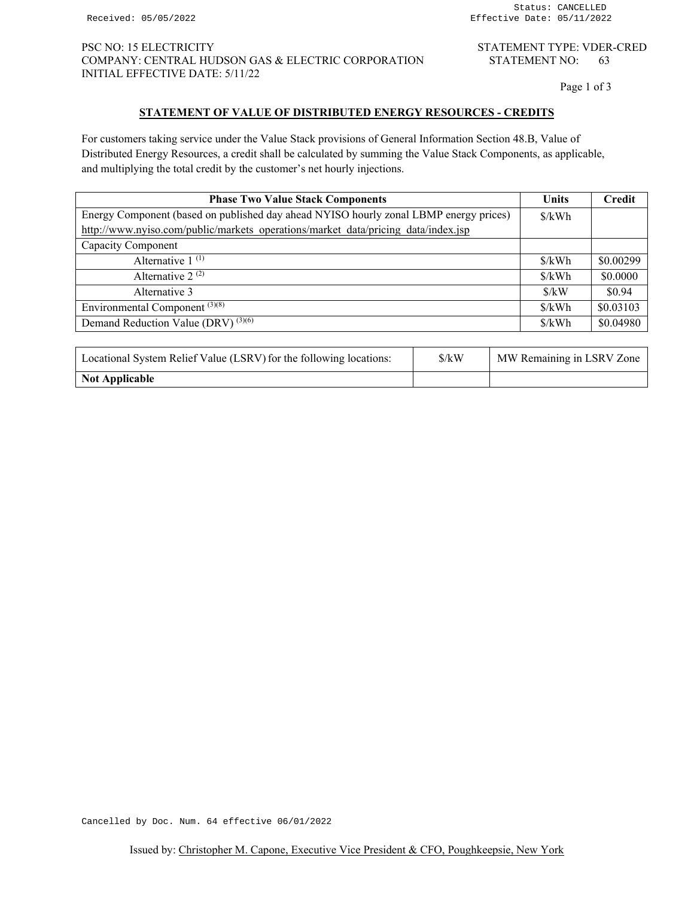Page 1 of 3

# **STATEMENT OF VALUE OF DISTRIBUTED ENERGY RESOURCES - CREDITS**

For customers taking service under the Value Stack provisions of General Information Section 48.B, Value of Distributed Energy Resources, a credit shall be calculated by summing the Value Stack Components, as applicable, and multiplying the total credit by the customer's net hourly injections.

| <b>Units</b>                | Credit    |
|-----------------------------|-----------|
| $\frac{\delta}{kWh}$        |           |
|                             |           |
|                             |           |
| $\frac{\sqrt{2}}{2}$        | \$0.00299 |
| \$/kWh                      | \$0.0000  |
| $\frac{\text{S}}{\text{N}}$ | \$0.94    |
| \$/kWh                      | \$0.03103 |
| \$/kWh                      | \$0.04980 |
|                             |           |

| Locational System Relief Value (LSRV) for the following locations: | $\frac{\text{S}}{\text{K}}$ | MW Remaining in LSRV Zone |
|--------------------------------------------------------------------|-----------------------------|---------------------------|
| Not Applicable                                                     |                             |                           |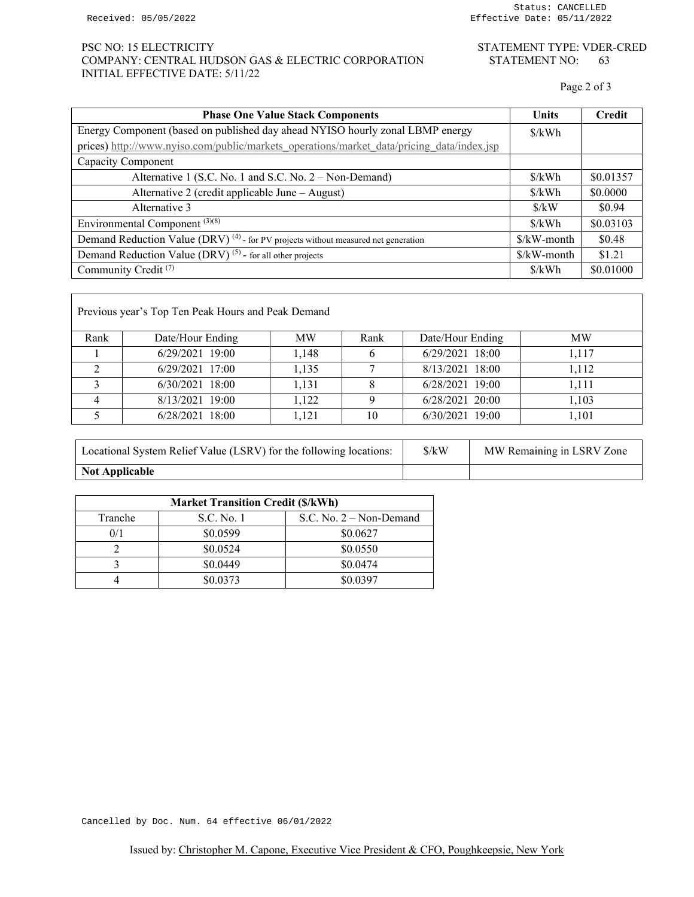# PSC NO: 15 ELECTRICITY STATEMENT TYPE: VDER-CRED COMPANY: CENTRAL HUDSON GAS & ELECTRIC CORPORATION STATEMENT NO: 63 INITIAL EFFECTIVE DATE: 5/11/22

Page 2 of 3

| <b>Phase One Value Stack Components</b>                                                       | <b>Units</b>                | <b>Credit</b> |
|-----------------------------------------------------------------------------------------------|-----------------------------|---------------|
| Energy Component (based on published day ahead NYISO hourly zonal LBMP energy                 | $\frac{\sqrt{2}}{2}$        |               |
| prices) http://www.nyiso.com/public/markets operations/market data/pricing data/index.jsp     |                             |               |
| Capacity Component                                                                            |                             |               |
| Alternative 1 (S.C. No. 1 and S.C. No. 2 – Non-Demand)                                        | \$/kWh                      | \$0.01357     |
| Alternative 2 (credit applicable June – August)                                               | \$/kWh                      | \$0.0000      |
| Alternative 3                                                                                 | $\frac{\text{S}}{\text{N}}$ | \$0.94        |
| Environmental Component <sup>(3)(8)</sup>                                                     | \$/kWh                      | \$0.03103     |
| Demand Reduction Value (DRV) <sup>(4)</sup> - for PV projects without measured net generation | \$/kW-month                 | \$0.48        |
| Demand Reduction Value (DRV) <sup>(5)</sup> - for all other projects                          | \$/kW-month                 | \$1.21        |
| Community Credit <sup>(7)</sup>                                                               | \$/kWh                      | \$0.01000     |

| Previous year's Top Ten Peak Hours and Peak Demand |                  |           |      |                  |           |
|----------------------------------------------------|------------------|-----------|------|------------------|-----------|
| Rank                                               | Date/Hour Ending | <b>MW</b> | Rank | Date/Hour Ending | <b>MW</b> |
|                                                    | 6/29/2021 19:00  | 1,148     |      | 6/29/2021 18:00  | 1.117     |
|                                                    | 6/29/2021 17:00  | 1.135     |      | 8/13/2021 18:00  | 1.112     |
|                                                    | 6/30/2021 18:00  | 1.131     |      | 6/28/2021 19:00  | 1.111     |
|                                                    | 8/13/2021 19:00  | 1,122     |      | 6/28/2021 20:00  | 1.103     |
|                                                    | 6/28/2021 18:00  | 1.121     | 10   | 6/30/2021 19:00  | 1.101     |

| Locational System Relief Value (LSRV) for the following locations: | $\frac{\text{S}}{\text{K}}$ | MW Remaining in LSRV Zone |  |
|--------------------------------------------------------------------|-----------------------------|---------------------------|--|
| <b>Not Applicable</b>                                              |                             |                           |  |

| <b>Market Transition Credit (\$/kWh)</b> |            |                           |  |
|------------------------------------------|------------|---------------------------|--|
| Tranche                                  | S.C. No. 1 | S.C. No. $2 -$ Non-Demand |  |
| 0/1                                      | \$0.0599   | \$0.0627                  |  |
|                                          | \$0.0524   | \$0.0550                  |  |
|                                          | \$0.0449   | \$0.0474                  |  |
|                                          | \$0.0373   | \$0.0397                  |  |

Cancelled by Doc. Num. 64 effective 06/01/2022